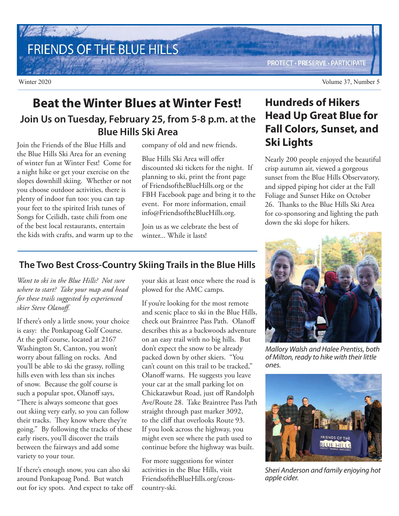## FRIENDS OF THE BLUE HILLS

**PROTECT · PRESERVE · PARTICIPATE** 

## **Beat the Winter Blues at Winter Fest! Join Us on Tuesday, February 25, from 5-8 p.m. at the Blue Hills Ski Area**

Join the Friends of the Blue Hills and the Blue Hills Ski Area for an evening of winter fun at Winter Fest! Come for a night hike or get your exercise on the slopes downhill skiing. Whether or not you choose outdoor activities, there is plenty of indoor fun too: you can tap your feet to the spirited Irish tunes of Songs for Ceilidh, taste chili from one of the best local restaurants, entertain the kids with crafts, and warm up to the company of old and new friends.

Blue Hills Ski Area will offer discounted ski tickets for the night. If planning to ski, print the front page of FriendsoftheBlueHills.org or the FBH Facebook page and bring it to the event. For more information, email info@FriendsoftheBlueHills.org.

Join us as we celebrate the best of winter... While it lasts!

## **The Two Best Cross-Country Skiing Trails in the Blue Hills**

*Want to ski in the Blue Hills? Not sure where to start? Take your map and head for these trails suggested by experienced skier Steve Olanoff.*

If there's only a little snow, your choice is easy: the Ponkapoag Golf Course. At the golf course, located at 2167 Washington St, Canton, you won't worry about falling on rocks. And you'll be able to ski the grassy, rolling hills even with less than six inches of snow. Because the golf course is such a popular spot, Olanoff says, "There is always someone that goes out skiing very early, so you can follow their tracks. They know where they're going." By following the tracks of these early risers, you'll discover the trails between the fairways and add some variety to your tour.

If there's enough snow, you can also ski around Ponkapoag Pond. But watch out for icy spots. And expect to take off your skis at least once where the road is plowed for the AMC camps.

If you're looking for the most remote and scenic place to ski in the Blue Hills, check out Braintree Pass Path. Olanoff describes this as a backwoods adventure on an easy trail with no big hills. But don't expect the snow to be already packed down by other skiers. "You can't count on this trail to be tracked," Olanoff warns. He suggests you leave your car at the small parking lot on Chickatawbut Road, just off Randolph Ave/Route 28. Take Braintree Pass Path straight through past marker 3092, to the cliff that overlooks Route 93. If you look across the highway, you might even see where the path used to continue before the highway was built.

For more suggestions for winter activities in the Blue Hills, visit FriendsoftheBlueHills.org/crosscountry-ski.

## **Hundreds of Hikers Head Up Great Blue for Fall Colors, Sunset, and Ski Lights**

Nearly 200 people enjoyed the beautiful crisp autumn air, viewed a gorgeous sunset from the Blue Hills Observatory, and sipped piping hot cider at the Fall Foliage and Sunset Hike on October 26. Thanks to the Blue Hills Ski Area for co-sponsoring and lighting the path down the ski slope for hikers.



Mallory Walsh and Halee Prentiss, both of Milton, ready to hike with their little ones.



Sheri Anderson and family enjoying hot apple cider.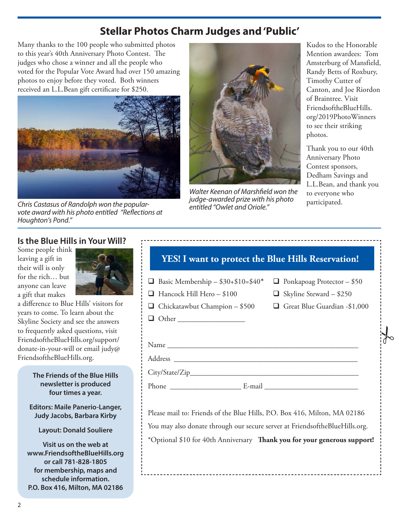## **Stellar Photos Charm Judges and 'Public'**

Many thanks to the 100 people who submitted photos to this year's 40th Anniversary Photo Contest. The judges who chose a winner and all the people who voted for the Popular Vote Award had over 150 amazing photos to enjoy before they voted. Both winners received an L.L.Bean gift certificate for \$250.



pudge-awarded prize with his photo<br>Chris Castasus of Randolph won the popular-<br>entitled "Owlet and Oriole" vote award with his photo entitled "Reflections at Houghton's Pond."



Walter Keenan of Marshfield won the judge-awarded prize with his photo entitled "Owlet and Oriole."

Kudos to the Honorable Mention awardees: Tom Amsterburg of Mansfield, Randy Betts of Roxbury, Timothy Cutter of Canton, and Joe Riordon of Braintree. Visit FriendsoftheBlueHills. org/2019PhotoWinners to see their striking photos.

Thank you to our 40th Anniversary Photo Contest sponsors, Dedham Savings and L.L.Bean, and thank you to everyone who

 $\frac{1}{6}$ 

#### **Is the Blue Hills in Your Will?**

Some people think leaving a gift in their will is only for the rich… but anyone can leave a gift that makes



a difference to Blue Hills' visitors for years to come. To learn about the Skyline Society and see the answers to frequently asked questions, visit FriendsoftheBlueHills.org/support/ donate-in-your-will or email judy@ FriendsoftheBlueHills.org.

> **The Friends of the Blue Hills newsletter is produced four times a year.**

**Editors: Maile Panerio-Langer, Judy Jacobs, Barbara Kirby**

#### **Layout: Donald Souliere**

**Visit us on the web at www.FriendsoftheBlueHills.org or call 781-828-1805 for membership, maps and schedule information. P.O. Box 416, Milton, MA 02186**

| <b>YES!</b> I want to protect the Blue Hills Reservation!                     |                                                                     |
|-------------------------------------------------------------------------------|---------------------------------------------------------------------|
| <b>Basic Membership - \$30+\$10=\$40*</b><br>$\Box$ Hancock Hill Hero – \$100 | $\Box$ Ponkapoag Protector – \$50<br>$\Box$ Skyline Steward – \$250 |
| $\Box$ Chickatawbut Champion – \$500                                          | $\Box$ Great Blue Guardian -\$1,000                                 |
| $\Box$ Other                                                                  |                                                                     |
|                                                                               |                                                                     |
|                                                                               |                                                                     |
|                                                                               |                                                                     |
| Phone E-mail                                                                  |                                                                     |

Please mail to: Friends of the Blue Hills, P.O. Box 416, Milton, MA 02186 You may also donate through our secure server at FriendsoftheBlueHills.org. \*Optional \$10 for 40th Anniversary **Thank you for your generous support!**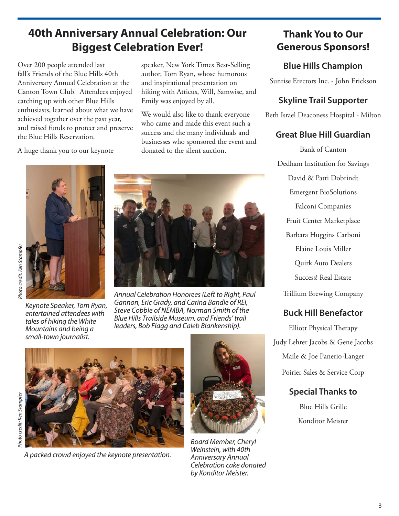## **40th Anniversary Annual Celebration: Our Biggest Celebration Ever!**

Over 200 people attended last fall's Friends of the Blue Hills 40th Anniversary Annual Celebration at the Canton Town Club. Attendees enjoyed catching up with other Blue Hills enthusiasts, learned about what we have achieved together over the past year, and raised funds to protect and preserve the Blue Hills Reservation.

A huge thank you to our keynote

speaker, New York Times Best-Selling author, Tom Ryan, whose humorous and inspirational presentation on hiking with Atticus, Will, Samwise, and Emily was enjoyed by all.

We would also like to thank everyone who came and made this event such a success and the many individuals and businesses who sponsored the event and donated to the silent auction.





Keynote Speaker, Tom Ryan, entertained attendees with tales of hiking the White Mountains and being a small-town journalist.

Annual Celebration Honorees (Left to Right, Paul Gannon, Eric Grady, and Carina Bandle of REI, Steve Cobble of NEMBA, Norman Smith of the Blue Hills Trailside Museum, and Friends' trail leaders, Bob Flagg and Caleb Blankenship).



A packed crowd enjoyed the keynote presentation.



Board Member, Cheryl Weinstein, with 40th Anniversary Annual Celebration cake donated by Konditor Meister.

## **Thank You to Our Generous Sponsors!**

### **Blue Hills Champion**

Sunrise Erectors Inc. - John Erickson

#### **Skyline Trail Supporter**

Beth Israel Deaconess Hospital - Milton

#### **Great Blue Hill Guardian**

Bank of Canton Dedham Institution for Savings David & Patti Dobrindt Emergent BioSolutions Falconi Companies Fruit Center Marketplace Barbara Huggins Carboni Elaine Louis Miller Quirk Auto Dealers Success! Real Estate Trillium Brewing Company

#### **Buck Hill Benefactor**

Elliott Physical Therapy Judy Lehrer Jacobs & Gene Jacobs Maile & Joe Panerio-Langer Poirier Sales & Service Corp

### **Special Thanks to**

Blue Hills Grille Konditor Meister